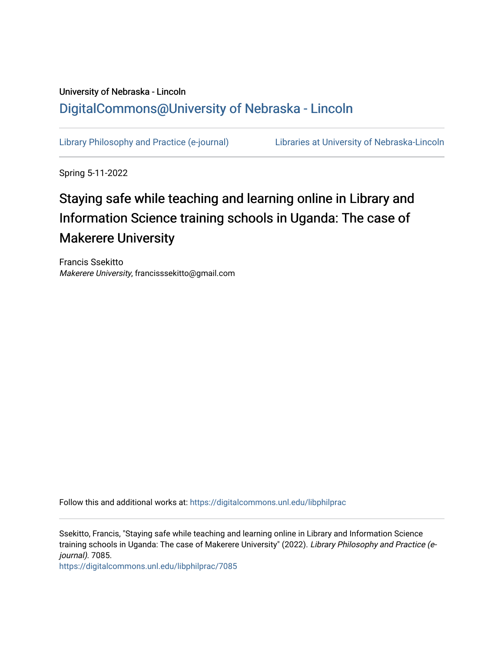## University of Nebraska - Lincoln [DigitalCommons@University of Nebraska - Lincoln](https://digitalcommons.unl.edu/)

[Library Philosophy and Practice \(e-journal\)](https://digitalcommons.unl.edu/libphilprac) [Libraries at University of Nebraska-Lincoln](https://digitalcommons.unl.edu/libraries) 

Spring 5-11-2022

# Staying safe while teaching and learning online in Library and Information Science training schools in Uganda: The case of Makerere University

Francis Ssekitto Makerere University, francisssekitto@gmail.com

Follow this and additional works at: [https://digitalcommons.unl.edu/libphilprac](https://digitalcommons.unl.edu/libphilprac?utm_source=digitalcommons.unl.edu%2Flibphilprac%2F7085&utm_medium=PDF&utm_campaign=PDFCoverPages) 

Ssekitto, Francis, "Staying safe while teaching and learning online in Library and Information Science training schools in Uganda: The case of Makerere University" (2022). Library Philosophy and Practice (ejournal). 7085.

[https://digitalcommons.unl.edu/libphilprac/7085](https://digitalcommons.unl.edu/libphilprac/7085?utm_source=digitalcommons.unl.edu%2Flibphilprac%2F7085&utm_medium=PDF&utm_campaign=PDFCoverPages)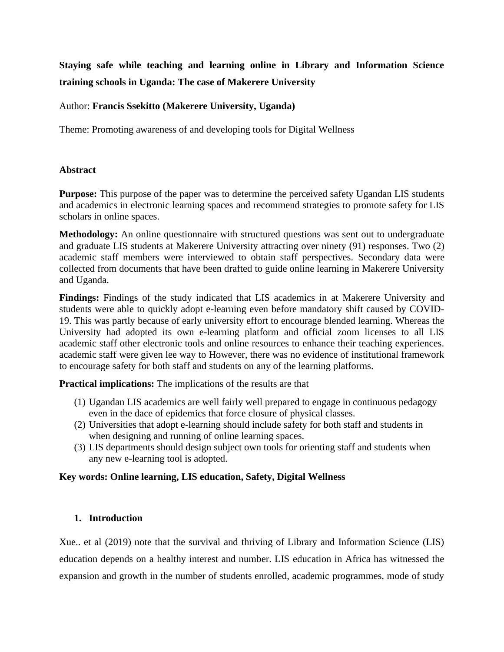**Staying safe while teaching and learning online in Library and Information Science training schools in Uganda: The case of Makerere University** 

## Author: **Francis Ssekitto (Makerere University, Uganda)**

Theme: Promoting awareness of and developing tools for Digital Wellness

## **Abstract**

**Purpose:** This purpose of the paper was to determine the perceived safety Ugandan LIS students and academics in electronic learning spaces and recommend strategies to promote safety for LIS scholars in online spaces.

**Methodology:** An online questionnaire with structured questions was sent out to undergraduate and graduate LIS students at Makerere University attracting over ninety (91) responses. Two (2) academic staff members were interviewed to obtain staff perspectives. Secondary data were collected from documents that have been drafted to guide online learning in Makerere University and Uganda.

**Findings:** Findings of the study indicated that LIS academics in at Makerere University and students were able to quickly adopt e-learning even before mandatory shift caused by COVID-19. This was partly because of early university effort to encourage blended learning. Whereas the University had adopted its own e-learning platform and official zoom licenses to all LIS academic staff other electronic tools and online resources to enhance their teaching experiences. academic staff were given lee way to However, there was no evidence of institutional framework to encourage safety for both staff and students on any of the learning platforms.

**Practical implications:** The implications of the results are that

- (1) Ugandan LIS academics are well fairly well prepared to engage in continuous pedagogy even in the dace of epidemics that force closure of physical classes.
- (2) Universities that adopt e-learning should include safety for both staff and students in when designing and running of online learning spaces.
- (3) LIS departments should design subject own tools for orienting staff and students when any new e-learning tool is adopted.

## **Key words: Online learning, LIS education, Safety, Digital Wellness**

## **1. Introduction**

Xue.. et al (2019) note that the survival and thriving of Library and Information Science (LIS) education depends on a healthy interest and number. LIS education in Africa has witnessed the expansion and growth in the number of students enrolled, academic programmes, mode of study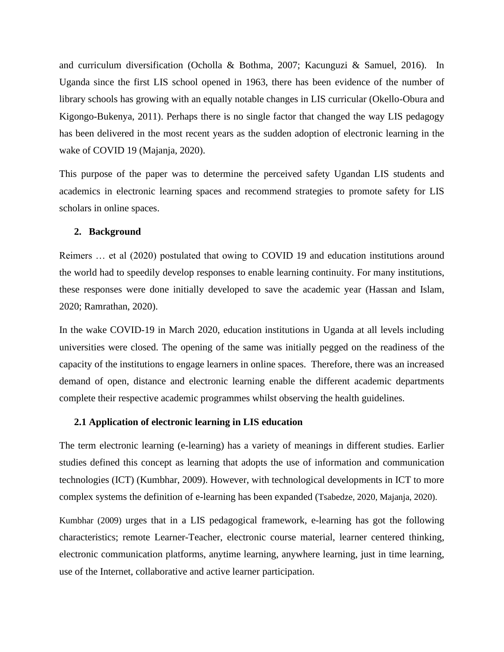and curriculum diversification (Ocholla & Bothma, 2007; Kacunguzi & Samuel, 2016). In Uganda since the first LIS school opened in 1963, there has been evidence of the number of library schools has growing with an equally notable changes in LIS curricular (Okello-Obura and Kigongo-Bukenya, 2011). Perhaps there is no single factor that changed the way LIS pedagogy has been delivered in the most recent years as the sudden adoption of electronic learning in the wake of COVID 19 (Majanja, 2020).

This purpose of the paper was to determine the perceived safety Ugandan LIS students and academics in electronic learning spaces and recommend strategies to promote safety for LIS scholars in online spaces.

#### **2. Background**

Reimers … et al (2020) postulated that owing to COVID 19 and education institutions around the world had to speedily develop responses to enable learning continuity. For many institutions, these responses were done initially developed to save the academic year (Hassan and Islam, 2020; Ramrathan, 2020).

In the wake COVID-19 in March 2020, education institutions in Uganda at all levels including universities were closed. The opening of the same was initially pegged on the readiness of the capacity of the institutions to engage learners in online spaces. Therefore, there was an increased demand of open, distance and electronic learning enable the different academic departments complete their respective academic programmes whilst observing the health guidelines.

#### **2.1 Application of electronic learning in LIS education**

The term electronic learning (e-learning) has a variety of meanings in different studies. Earlier studies defined this concept as learning that adopts the use of information and communication technologies (ICT) (Kumbhar, 2009). However, with technological developments in ICT to more complex systems the definition of e-learning has been expanded (Tsabedze, 2020, Majanja, 2020).

Kumbhar (2009) urges that in a LIS pedagogical framework, e-learning has got the following characteristics; remote Learner-Teacher, electronic course material, learner centered thinking, electronic communication platforms, anytime learning, anywhere learning, just in time learning, use of the Internet, collaborative and active learner participation.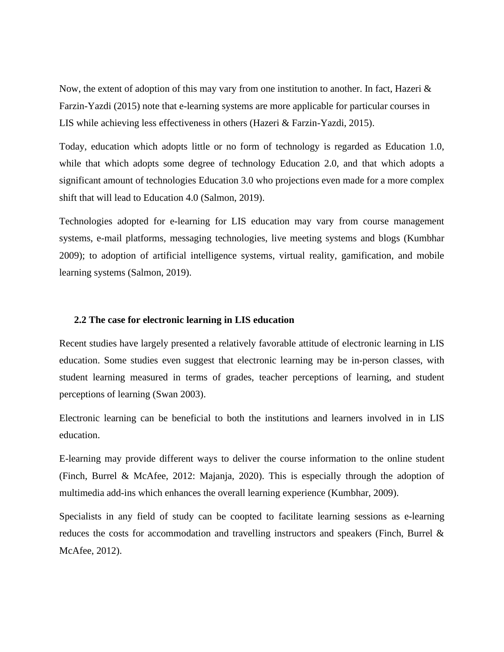Now, the extent of adoption of this may vary from one institution to another. In fact, Hazeri & Farzin-Yazdi (2015) note that e-learning systems are more applicable for particular courses in LIS while achieving less effectiveness in others (Hazeri & Farzin-Yazdi, 2015).

Today, education which adopts little or no form of technology is regarded as Education 1.0, while that which adopts some degree of technology Education 2.0, and that which adopts a significant amount of technologies Education 3.0 who projections even made for a more complex shift that will lead to Education 4.0 (Salmon, 2019).

Technologies adopted for e-learning for LIS education may vary from course management systems, e-mail platforms, messaging technologies, live meeting systems and blogs (Kumbhar 2009); to adoption of artificial intelligence systems, virtual reality, gamification, and mobile learning systems (Salmon, 2019).

#### **2.2 The case for electronic learning in LIS education**

Recent studies have largely presented a relatively favorable attitude of electronic learning in LIS education. Some studies even suggest that electronic learning may be in-person classes, with student learning measured in terms of grades, teacher perceptions of learning, and student perceptions of learning (Swan 2003).

Electronic learning can be beneficial to both the institutions and learners involved in in LIS education.

E-learning may provide different ways to deliver the course information to the online student (Finch, Burrel & McAfee, 2012: Majanja, 2020). This is especially through the adoption of multimedia add-ins which enhances the overall learning experience (Kumbhar, 2009).

Specialists in any field of study can be coopted to facilitate learning sessions as e-learning reduces the costs for accommodation and travelling instructors and speakers (Finch, Burrel & McAfee, 2012).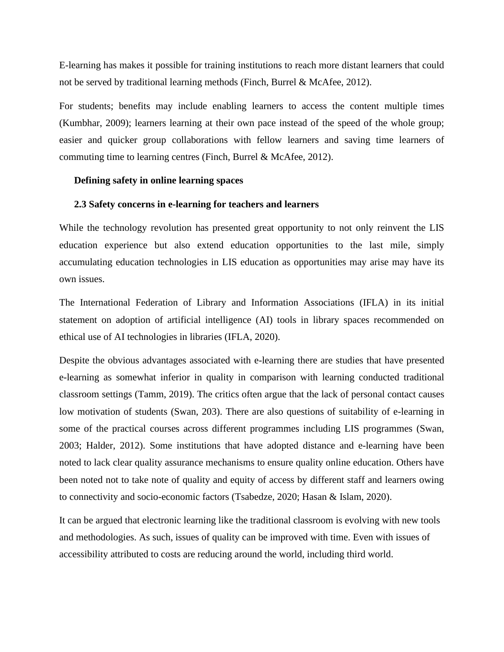E-learning has makes it possible for training institutions to reach more distant learners that could not be served by traditional learning methods (Finch, Burrel & McAfee, 2012).

For students; benefits may include enabling learners to access the content multiple times (Kumbhar, 2009); learners learning at their own pace instead of the speed of the whole group; easier and quicker group collaborations with fellow learners and saving time learners of commuting time to learning centres (Finch, Burrel & McAfee, 2012).

#### **Defining safety in online learning spaces**

#### **2.3 Safety concerns in e-learning for teachers and learners**

While the technology revolution has presented great opportunity to not only reinvent the LIS education experience but also extend education opportunities to the last mile, simply accumulating education technologies in LIS education as opportunities may arise may have its own issues.

The International Federation of Library and Information Associations (IFLA) in its initial statement on adoption of artificial intelligence (AI) tools in library spaces recommended on ethical use of AI technologies in libraries (IFLA, 2020).

Despite the obvious advantages associated with e-learning there are studies that have presented e-learning as somewhat inferior in quality in comparison with learning conducted traditional classroom settings (Tamm, 2019). The critics often argue that the lack of personal contact causes low motivation of students (Swan, 203). There are also questions of suitability of e-learning in some of the practical courses across different programmes including LIS programmes (Swan, 2003; Halder, 2012). Some institutions that have adopted distance and e-learning have been noted to lack clear quality assurance mechanisms to ensure quality online education. Others have been noted not to take note of quality and equity of access by different staff and learners owing to connectivity and socio-economic factors (Tsabedze, 2020; Hasan & Islam, 2020).

It can be argued that electronic learning like the traditional classroom is evolving with new tools and methodologies. As such, issues of quality can be improved with time. Even with issues of accessibility attributed to costs are reducing around the world, including third world.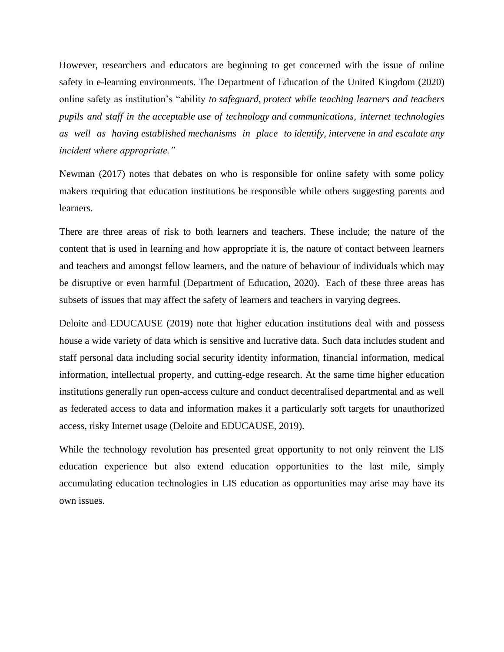However, researchers and educators are beginning to get concerned with the issue of online safety in e-learning environments. The Department of Education of the United Kingdom (2020) online safety as institution's "ability *to safeguard, protect while teaching learners and teachers pupils and staff in the acceptable use of technology and communications, internet technologies as well as having established mechanisms in place to identify, intervene in and escalate any incident where appropriate."*

Newman (2017) notes that debates on who is responsible for online safety with some policy makers requiring that education institutions be responsible while others suggesting parents and learners.

There are three areas of risk to both learners and teachers. These include; the nature of the content that is used in learning and how appropriate it is, the nature of contact between learners and teachers and amongst fellow learners, and the nature of behaviour of individuals which may be disruptive or even harmful (Department of Education, 2020). Each of these three areas has subsets of issues that may affect the safety of learners and teachers in varying degrees.

Deloite and EDUCAUSE (2019) note that higher education institutions deal with and possess house a wide variety of data which is sensitive and lucrative data. Such data includes student and staff personal data including social security identity information, financial information, medical information, intellectual property, and cutting-edge research. At the same time higher education institutions generally run open-access culture and conduct decentralised departmental and as well as federated access to data and information makes it a particularly soft targets for unauthorized access, risky Internet usage (Deloite and EDUCAUSE, 2019).

While the technology revolution has presented great opportunity to not only reinvent the LIS education experience but also extend education opportunities to the last mile, simply accumulating education technologies in LIS education as opportunities may arise may have its own issues.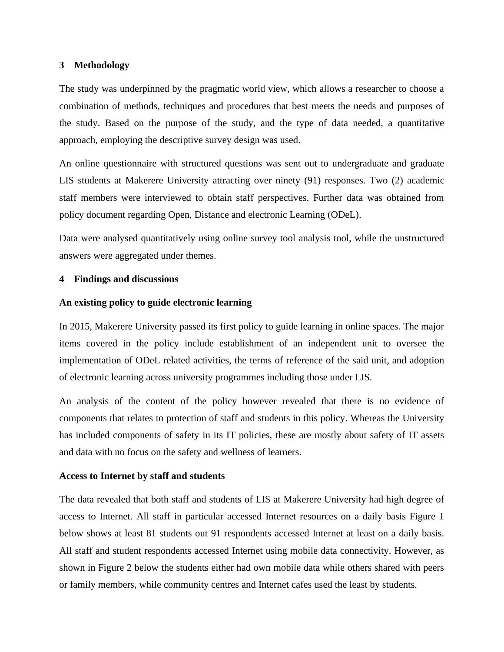## **3 Methodology**

The study was underpinned by the pragmatic world view, which allows a researcher to choose a combination of methods, techniques and procedures that best meets the needs and purposes of the study. Based on the purpose of the study, and the type of data needed, a quantitative approach, employing the descriptive survey design was used.

An online questionnaire with structured questions was sent out to undergraduate and graduate LIS students at Makerere University attracting over ninety (91) responses. Two (2) academic staff members were interviewed to obtain staff perspectives. Further data was obtained from policy document regarding Open, Distance and electronic Learning (ODeL).

Data were analysed quantitatively using online survey tool analysis tool, while the unstructured answers were aggregated under themes.

## **4 Findings and discussions**

## **An existing policy to guide electronic learning**

In 2015, Makerere University passed its first policy to guide learning in online spaces. The major items covered in the policy include establishment of an independent unit to oversee the implementation of ODeL related activities, the terms of reference of the said unit, and adoption of electronic learning across university programmes including those under LIS.

An analysis of the content of the policy however revealed that there is no evidence of components that relates to protection of staff and students in this policy. Whereas the University has included components of safety in its IT policies, these are mostly about safety of IT assets and data with no focus on the safety and wellness of learners.

## **Access to Internet by staff and students**

The data revealed that both staff and students of LIS at Makerere University had high degree of access to Internet. All staff in particular accessed Internet resources on a daily basis Figure 1 below shows at least 81 students out 91 respondents accessed Internet at least on a daily basis. All staff and student respondents accessed Internet using mobile data connectivity. However, as shown in Figure 2 below the students either had own mobile data while others shared with peers or family members, while community centres and Internet cafes used the least by students.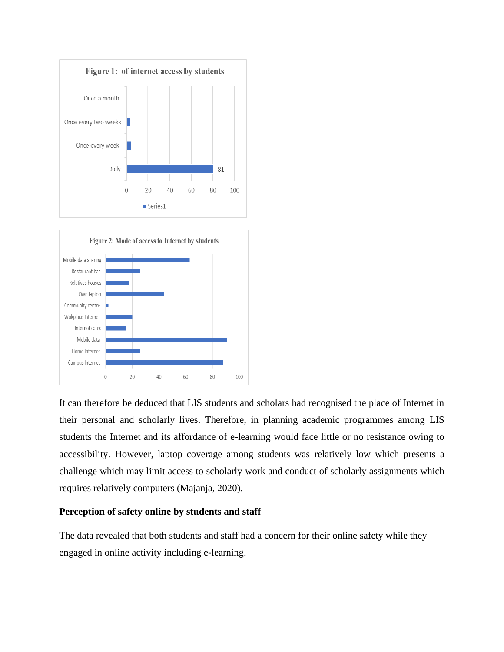



It can therefore be deduced that LIS students and scholars had recognised the place of Internet in their personal and scholarly lives. Therefore, in planning academic programmes among LIS students the Internet and its affordance of e-learning would face little or no resistance owing to accessibility. However, laptop coverage among students was relatively low which presents a challenge which may limit access to scholarly work and conduct of scholarly assignments which requires relatively computers (Majanja, 2020).

## **Perception of safety online by students and staff**

The data revealed that both students and staff had a concern for their online safety while they engaged in online activity including e-learning.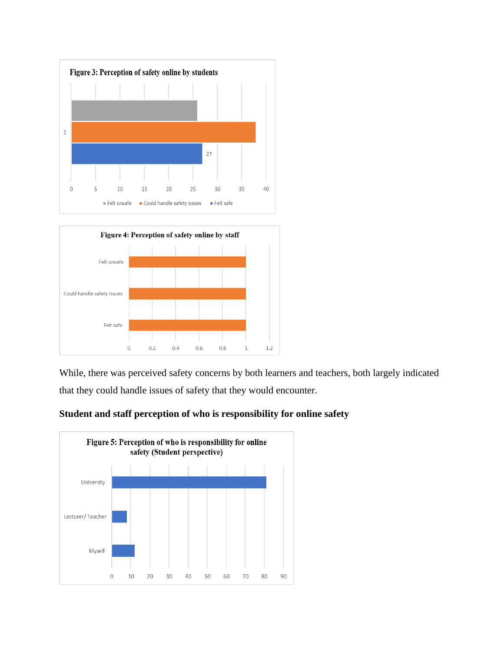



While, there was perceived safety concerns by both learners and teachers, both largely indicated that they could handle issues of safety that they would encounter.



**Student and staff perception of who is responsibility for online safety**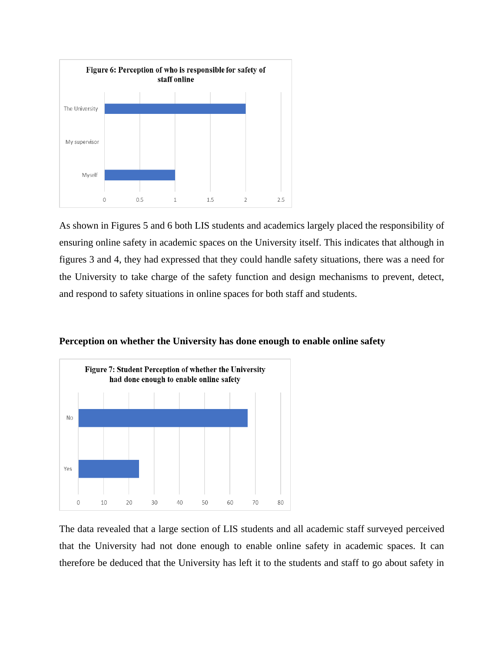

As shown in Figures 5 and 6 both LIS students and academics largely placed the responsibility of ensuring online safety in academic spaces on the University itself. This indicates that although in figures 3 and 4, they had expressed that they could handle safety situations, there was a need for the University to take charge of the safety function and design mechanisms to prevent, detect, and respond to safety situations in online spaces for both staff and students.

**Perception on whether the University has done enough to enable online safety**



The data revealed that a large section of LIS students and all academic staff surveyed perceived that the University had not done enough to enable online safety in academic spaces. It can therefore be deduced that the University has left it to the students and staff to go about safety in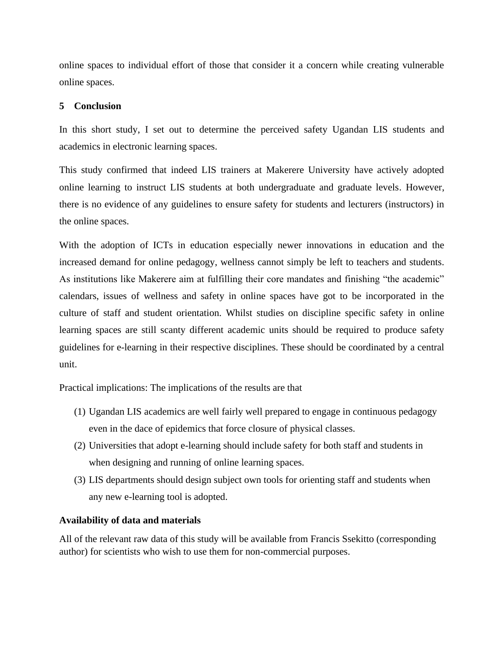online spaces to individual effort of those that consider it a concern while creating vulnerable online spaces.

## **5 Conclusion**

In this short study, I set out to determine the perceived safety Ugandan LIS students and academics in electronic learning spaces.

This study confirmed that indeed LIS trainers at Makerere University have actively adopted online learning to instruct LIS students at both undergraduate and graduate levels. However, there is no evidence of any guidelines to ensure safety for students and lecturers (instructors) in the online spaces.

With the adoption of ICTs in education especially newer innovations in education and the increased demand for online pedagogy, wellness cannot simply be left to teachers and students. As institutions like Makerere aim at fulfilling their core mandates and finishing "the academic" calendars, issues of wellness and safety in online spaces have got to be incorporated in the culture of staff and student orientation. Whilst studies on discipline specific safety in online learning spaces are still scanty different academic units should be required to produce safety guidelines for e-learning in their respective disciplines. These should be coordinated by a central unit.

Practical implications: The implications of the results are that

- (1) Ugandan LIS academics are well fairly well prepared to engage in continuous pedagogy even in the dace of epidemics that force closure of physical classes.
- (2) Universities that adopt e-learning should include safety for both staff and students in when designing and running of online learning spaces.
- (3) LIS departments should design subject own tools for orienting staff and students when any new e-learning tool is adopted.

## **Availability of data and materials**

All of the relevant raw data of this study will be available from Francis Ssekitto (corresponding author) for scientists who wish to use them for non-commercial purposes.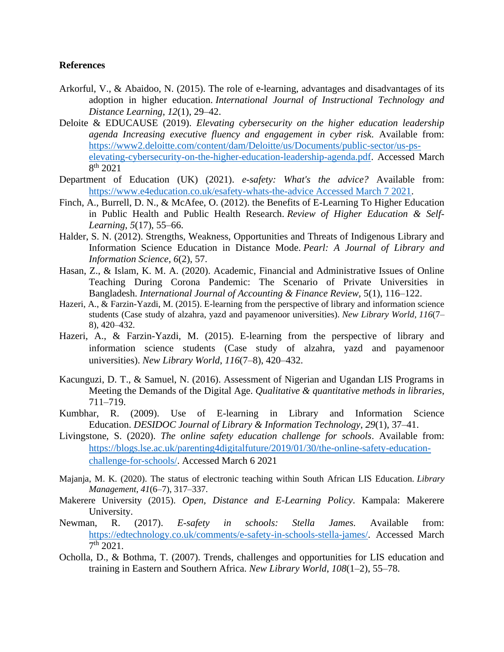## **References**

- Arkorful, V., & Abaidoo, N. (2015). The role of e-learning, advantages and disadvantages of its adoption in higher education. *International Journal of Instructional Technology and Distance Learning*, *12*(1), 29–42.
- Deloite & EDUCAUSE (2019). *Elevating cybersecurity on the higher education leadership agenda Increasing executive fluency and engagement in cyber risk.* Available from: https://www2.deloitte.com/content/dam/Deloitte/us/Documents/public-sector/us-pselevating-cybersecurity-on-the-higher-education-leadership-agenda.pdf. Accessed March 8 th 2021
- Department of Education (UK) (2021). *e-safety: What's the advice?* Available from: https://www.e4education.co.uk/esafety-whats-the-advice Accessed March 7 2021.
- Finch, A., Burrell, D. N., & McAfee, O. (2012). the Benefits of E-Learning To Higher Education in Public Health and Public Health Research. *Review of Higher Education & Self-Learning*, *5*(17), 55–66.
- Halder, S. N. (2012). Strengths, Weakness, Opportunities and Threats of Indigenous Library and Information Science Education in Distance Mode. *Pearl: A Journal of Library and Information Science*, *6*(2), 57.
- Hasan, Z., & Islam, K. M. A. (2020). Academic, Financial and Administrative Issues of Online Teaching During Corona Pandemic: The Scenario of Private Universities in Bangladesh. *International Journal of Accounting & Finance Review,* 5(1), 116–122.
- Hazeri, A., & Farzin-Yazdi, M. (2015). E-learning from the perspective of library and information science students (Case study of alzahra, yazd and payamenoor universities). *New Library World*, *116*(7– 8), 420–432.
- Hazeri, A., & Farzin-Yazdi, M. (2015). E-learning from the perspective of library and information science students (Case study of alzahra, yazd and payamenoor universities). *New Library World*, *116*(7–8), 420–432.
- Kacunguzi, D. T., & Samuel, N. (2016). Assessment of Nigerian and Ugandan LIS Programs in Meeting the Demands of the Digital Age. *Qualitative & quantitative methods in libraries*, 711–719.
- Kumbhar, R. (2009). Use of E-learning in Library and Information Science Education. *DESIDOC Journal of Library & Information Technology*, *29*(1), 37–41.
- Livingstone, S. (2020). *The online safety education challenge for schools*. Available from: https://blogs.lse.ac.uk/parenting4digitalfuture/2019/01/30/the-online-safety-educationchallenge-for-schools/. Accessed March 6 2021
- Majanja, M. K. (2020). The status of electronic teaching within South African LIS Education. *Library Management*, *41*(6–7), 317–337.
- Makerere University (2015). *Open, Distance and E-Learning Policy*. Kampala: Makerere University.
- Newman, R. (2017). *E-safety in schools: Stella James.* Available from: https://edtechnology.co.uk/comments/e-safety-in-schools-stella-james/. Accessed March  $7^{\text{th}}$  2021.
- Ocholla, D., & Bothma, T. (2007). Trends, challenges and opportunities for LIS education and training in Eastern and Southern Africa. *New Library World*, *108*(1–2), 55–78.